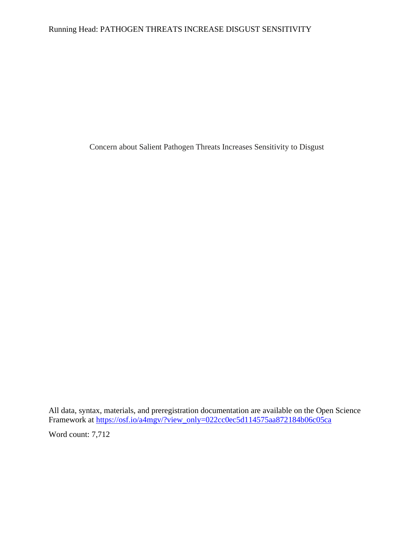## Running Head: PATHOGEN THREATS INCREASE DISGUST SENSITIVITY

Concern about Salient Pathogen Threats Increases Sensitivity to Disgust

All data, syntax, materials, and preregistration documentation are available on the Open Science Framework at [https://osf.io/a4mgv/?view\\_only=022cc0ec5d114575aa872184b06c05ca](https://osf.io/a4mgv/?view_only=022cc0ec5d114575aa872184b06c05ca)

Word count: 7,712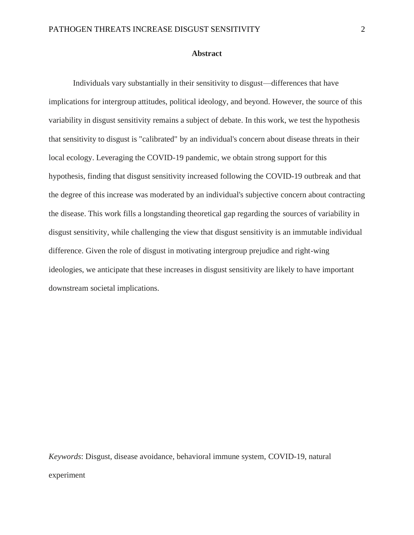#### **Abstract**

Individuals vary substantially in their sensitivity to disgust—differences that have implications for intergroup attitudes, political ideology, and beyond. However, the source of this variability in disgust sensitivity remains a subject of debate. In this work, we test the hypothesis that sensitivity to disgust is "calibrated" by an individual's concern about disease threats in their local ecology. Leveraging the COVID-19 pandemic, we obtain strong support for this hypothesis, finding that disgust sensitivity increased following the COVID-19 outbreak and that the degree of this increase was moderated by an individual's subjective concern about contracting the disease. This work fills a longstanding theoretical gap regarding the sources of variability in disgust sensitivity, while challenging the view that disgust sensitivity is an immutable individual difference. Given the role of disgust in motivating intergroup prejudice and right-wing ideologies, we anticipate that these increases in disgust sensitivity are likely to have important downstream societal implications.

*Keywords*: Disgust, disease avoidance, behavioral immune system, COVID-19, natural experiment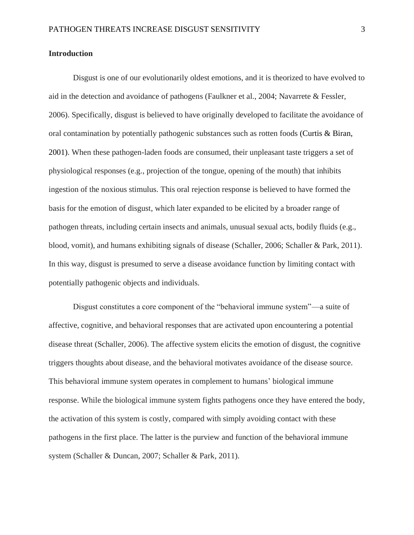## **Introduction**

Disgust is one of our evolutionarily oldest emotions, and it is theorized to have evolved to aid in the detection and avoidance of pathogens (Faulkner et al., 2004; Navarrete & Fessler, 2006). Specifically, disgust is believed to have originally developed to facilitate the avoidance of oral contamination by potentially pathogenic substances such as rotten foods (Curtis & Biran, 2001). When these pathogen-laden foods are consumed, their unpleasant taste triggers a set of physiological responses (e.g., projection of the tongue, opening of the mouth) that inhibits ingestion of the noxious stimulus. This oral rejection response is believed to have formed the basis for the emotion of disgust, which later expanded to be elicited by a broader range of pathogen threats, including certain insects and animals, unusual sexual acts, bodily fluids (e.g., blood, vomit), and humans exhibiting signals of disease (Schaller, 2006; Schaller & Park, 2011). In this way, disgust is presumed to serve a disease avoidance function by limiting contact with potentially pathogenic objects and individuals.

Disgust constitutes a core component of the "behavioral immune system"—a suite of affective, cognitive, and behavioral responses that are activated upon encountering a potential disease threat (Schaller, 2006). The affective system elicits the emotion of disgust, the cognitive triggers thoughts about disease, and the behavioral motivates avoidance of the disease source. This behavioral immune system operates in complement to humans' biological immune response. While the biological immune system fights pathogens once they have entered the body, the activation of this system is costly, compared with simply avoiding contact with these pathogens in the first place. The latter is the purview and function of the behavioral immune system (Schaller & Duncan, 2007; Schaller & Park, 2011).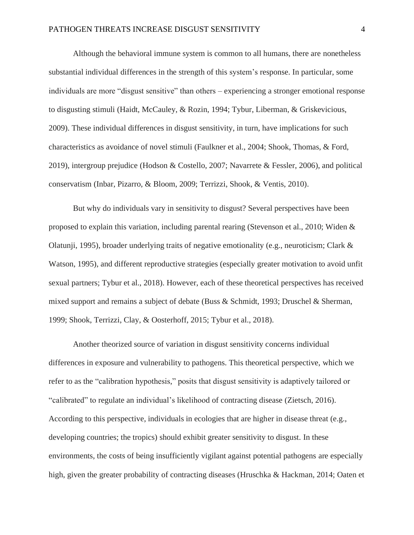Although the behavioral immune system is common to all humans, there are nonetheless substantial individual differences in the strength of this system's response. In particular, some individuals are more "disgust sensitive" than others – experiencing a stronger emotional response to disgusting stimuli (Haidt, McCauley, & Rozin, 1994; Tybur, Liberman, & Griskevicious, 2009). These individual differences in disgust sensitivity, in turn, have implications for such characteristics as avoidance of novel stimuli (Faulkner et al., 2004; Shook, Thomas, & Ford, 2019), intergroup prejudice (Hodson & Costello, 2007; Navarrete & Fessler, 2006), and political conservatism (Inbar, Pizarro, & Bloom, 2009; Terrizzi, Shook, & Ventis, 2010).

But why do individuals vary in sensitivity to disgust? Several perspectives have been proposed to explain this variation, including parental rearing (Stevenson et al., 2010; Widen & Olatunji, 1995), broader underlying traits of negative emotionality (e.g., neuroticism; Clark & Watson, 1995), and different reproductive strategies (especially greater motivation to avoid unfit sexual partners; Tybur et al., 2018). However, each of these theoretical perspectives has received mixed support and remains a subject of debate (Buss & Schmidt, 1993; Druschel & Sherman, 1999; Shook, Terrizzi, Clay, & Oosterhoff, 2015; Tybur et al., 2018).

Another theorized source of variation in disgust sensitivity concerns individual differences in exposure and vulnerability to pathogens. This theoretical perspective, which we refer to as the "calibration hypothesis," posits that disgust sensitivity is adaptively tailored or "calibrated" to regulate an individual's likelihood of contracting disease (Zietsch, 2016). According to this perspective, individuals in ecologies that are higher in disease threat (e.g., developing countries; the tropics) should exhibit greater sensitivity to disgust. In these environments, the costs of being insufficiently vigilant against potential pathogens are especially high, given the greater probability of contracting diseases (Hruschka & Hackman, 2014; Oaten et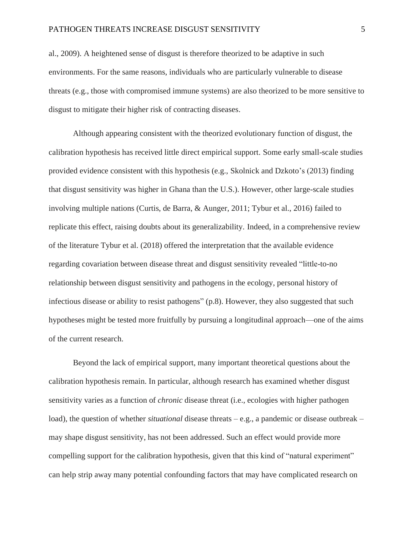al., 2009). A heightened sense of disgust is therefore theorized to be adaptive in such environments. For the same reasons, individuals who are particularly vulnerable to disease threats (e.g., those with compromised immune systems) are also theorized to be more sensitive to disgust to mitigate their higher risk of contracting diseases.

Although appearing consistent with the theorized evolutionary function of disgust, the calibration hypothesis has received little direct empirical support. Some early small-scale studies provided evidence consistent with this hypothesis (e.g., Skolnick and Dzkoto's (2013) finding that disgust sensitivity was higher in Ghana than the U.S.). However, other large-scale studies involving multiple nations (Curtis, de Barra, & Aunger, 2011; Tybur et al., 2016) failed to replicate this effect, raising doubts about its generalizability. Indeed, in a comprehensive review of the literature Tybur et al. (2018) offered the interpretation that the available evidence regarding covariation between disease threat and disgust sensitivity revealed "little-to-no relationship between disgust sensitivity and pathogens in the ecology, personal history of infectious disease or ability to resist pathogens" (p.8). However, they also suggested that such hypotheses might be tested more fruitfully by pursuing a longitudinal approach—one of the aims of the current research.

Beyond the lack of empirical support, many important theoretical questions about the calibration hypothesis remain. In particular, although research has examined whether disgust sensitivity varies as a function of *chronic* disease threat (i.e., ecologies with higher pathogen load), the question of whether *situational* disease threats – e.g., a pandemic or disease outbreak – may shape disgust sensitivity, has not been addressed. Such an effect would provide more compelling support for the calibration hypothesis, given that this kind of "natural experiment" can help strip away many potential confounding factors that may have complicated research on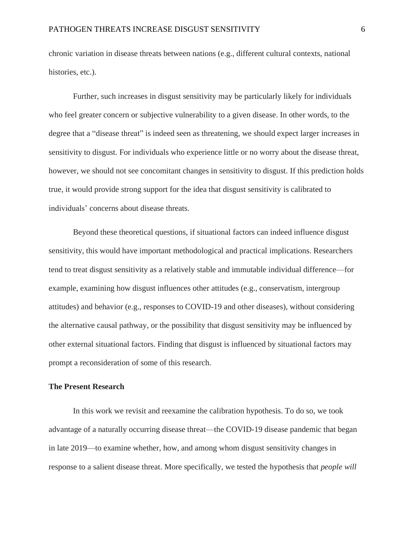chronic variation in disease threats between nations (e.g., different cultural contexts, national histories, etc.).

Further, such increases in disgust sensitivity may be particularly likely for individuals who feel greater concern or subjective vulnerability to a given disease. In other words, to the degree that a "disease threat" is indeed seen as threatening, we should expect larger increases in sensitivity to disgust. For individuals who experience little or no worry about the disease threat, however, we should not see concomitant changes in sensitivity to disgust. If this prediction holds true, it would provide strong support for the idea that disgust sensitivity is calibrated to individuals' concerns about disease threats.

Beyond these theoretical questions, if situational factors can indeed influence disgust sensitivity, this would have important methodological and practical implications. Researchers tend to treat disgust sensitivity as a relatively stable and immutable individual difference—for example, examining how disgust influences other attitudes (e.g., conservatism, intergroup attitudes) and behavior (e.g., responses to COVID-19 and other diseases), without considering the alternative causal pathway, or the possibility that disgust sensitivity may be influenced by other external situational factors. Finding that disgust is influenced by situational factors may prompt a reconsideration of some of this research.

## **The Present Research**

In this work we revisit and reexamine the calibration hypothesis. To do so, we took advantage of a naturally occurring disease threat—the COVID-19 disease pandemic that began in late 2019—to examine whether, how, and among whom disgust sensitivity changes in response to a salient disease threat. More specifically, we tested the hypothesis that *people will*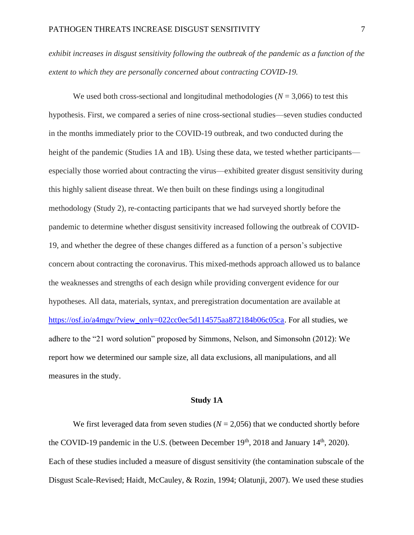*exhibit increases in disgust sensitivity following the outbreak of the pandemic as a function of the extent to which they are personally concerned about contracting COVID-19.*

We used both cross-sectional and longitudinal methodologies ( $N = 3,066$ ) to test this hypothesis. First, we compared a series of nine cross-sectional studies—seven studies conducted in the months immediately prior to the COVID-19 outbreak, and two conducted during the height of the pandemic (Studies 1A and 1B). Using these data, we tested whether participants especially those worried about contracting the virus—exhibited greater disgust sensitivity during this highly salient disease threat. We then built on these findings using a longitudinal methodology (Study 2), re-contacting participants that we had surveyed shortly before the pandemic to determine whether disgust sensitivity increased following the outbreak of COVID-19, and whether the degree of these changes differed as a function of a person's subjective concern about contracting the coronavirus. This mixed-methods approach allowed us to balance the weaknesses and strengths of each design while providing convergent evidence for our hypotheses. All data, materials, syntax, and preregistration documentation are available at [https://osf.io/a4mgv/?view\\_only=022cc0ec5d114575aa872184b06c05ca.](https://osf.io/a4mgv/?view_only=022cc0ec5d114575aa872184b06c05ca) For all studies, we adhere to the "21 word solution" proposed by Simmons, Nelson, and Simonsohn (2012): We report how we determined our sample size, all data exclusions, all manipulations, and all measures in the study.

#### **Study 1A**

We first leveraged data from seven studies  $(N = 2.056)$  that we conducted shortly before the COVID-19 pandemic in the U.S. (between December  $19<sup>th</sup>$ , 2018 and January  $14<sup>th</sup>$ , 2020). Each of these studies included a measure of disgust sensitivity (the contamination subscale of the Disgust Scale-Revised; Haidt, McCauley, & Rozin, 1994; Olatunji, 2007). We used these studies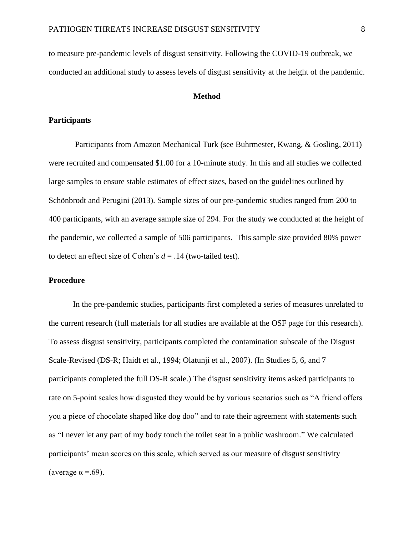to measure pre-pandemic levels of disgust sensitivity. Following the COVID-19 outbreak, we conducted an additional study to assess levels of disgust sensitivity at the height of the pandemic.

#### **Method**

#### **Participants**

Participants from Amazon Mechanical Turk (see Buhrmester, Kwang, & Gosling, 2011) were recruited and compensated \$1.00 for a 10-minute study. In this and all studies we collected large samples to ensure stable estimates of effect sizes, based on the guidelines outlined by Schönbrodt and Perugini (2013). Sample sizes of our pre-pandemic studies ranged from 200 to 400 participants, with an average sample size of 294. For the study we conducted at the height of the pandemic, we collected a sample of 506 participants. This sample size provided 80% power to detect an effect size of Cohen's  $d = .14$  (two-tailed test).

## **Procedure**

In the pre-pandemic studies, participants first completed a series of measures unrelated to the current research (full materials for all studies are available at the OSF page for this research). To assess disgust sensitivity, participants completed the contamination subscale of the Disgust Scale-Revised (DS-R; Haidt et al., 1994; Olatunji et al., 2007). (In Studies 5, 6, and 7 participants completed the full DS-R scale.) The disgust sensitivity items asked participants to rate on 5-point scales how disgusted they would be by various scenarios such as "A friend offers you a piece of chocolate shaped like dog doo" and to rate their agreement with statements such as "I never let any part of my body touch the toilet seat in a public washroom." We calculated participants' mean scores on this scale, which served as our measure of disgust sensitivity (average  $\alpha = .69$ ).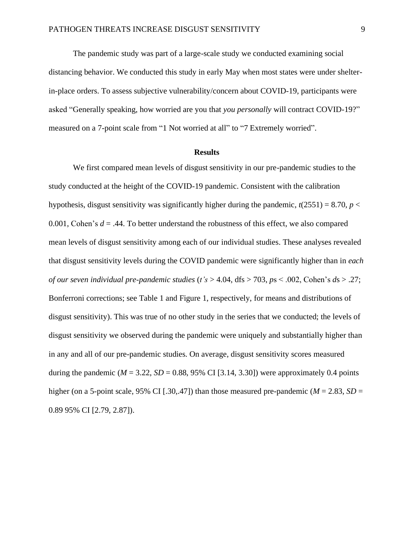The pandemic study was part of a large-scale study we conducted examining social distancing behavior. We conducted this study in early May when most states were under shelterin-place orders. To assess subjective vulnerability/concern about COVID-19, participants were asked "Generally speaking, how worried are you that *you personally* will contract COVID-19?" measured on a 7-point scale from "1 Not worried at all" to "7 Extremely worried".

#### **Results**

We first compared mean levels of disgust sensitivity in our pre-pandemic studies to the study conducted at the height of the COVID-19 pandemic. Consistent with the calibration hypothesis, disgust sensitivity was significantly higher during the pandemic,  $t(2551) = 8.70$ ,  $p <$ 0.001, Cohen's  $d = .44$ . To better understand the robustness of this effect, we also compared mean levels of disgust sensitivity among each of our individual studies. These analyses revealed that disgust sensitivity levels during the COVID pandemic were significantly higher than in *each of our seven individual pre-pandemic studies* (*t's* > 4.04, dfs > 703, *p*s < .002, Cohen's *d*s > .27; Bonferroni corrections; see Table 1 and Figure 1, respectively, for means and distributions of disgust sensitivity). This was true of no other study in the series that we conducted; the levels of disgust sensitivity we observed during the pandemic were uniquely and substantially higher than in any and all of our pre-pandemic studies. On average, disgust sensitivity scores measured during the pandemic ( $M = 3.22$ ,  $SD = 0.88$ , 95% CI [3.14, 3.30]) were approximately 0.4 points higher (on a 5-point scale, 95% CI [.30,.47]) than those measured pre-pandemic ( $M = 2.83$ ,  $SD =$ 0.89 95% CI [2.79, 2.87]).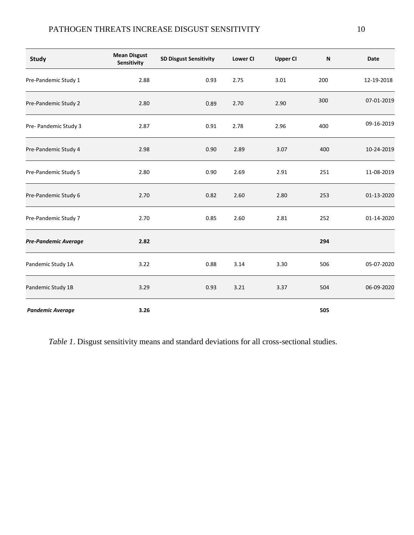# PATHOGEN THREATS INCREASE DISGUST SENSITIVITY 10

| <b>Study</b>            | <b>Mean Disgust</b><br>Sensitivity | <b>SD Disgust Sensitivity</b> | <b>Lower CI</b> | <b>Upper CI</b> | N   | <b>Date</b> |
|-------------------------|------------------------------------|-------------------------------|-----------------|-----------------|-----|-------------|
| Pre-Pandemic Study 1    | 2.88                               | 0.93                          | 2.75            | 3.01            | 200 | 12-19-2018  |
| Pre-Pandemic Study 2    | 2.80                               | 0.89                          | 2.70            | 2.90            | 300 | 07-01-2019  |
| Pre- Pandemic Study 3   | 2.87                               | 0.91                          | 2.78            | 2.96            | 400 | 09-16-2019  |
| Pre-Pandemic Study 4    | 2.98                               | 0.90                          | 2.89            | 3.07            | 400 | 10-24-2019  |
| Pre-Pandemic Study 5    | 2.80                               | 0.90                          | 2.69            | 2.91            | 251 | 11-08-2019  |
| Pre-Pandemic Study 6    | 2.70                               | 0.82                          | 2.60            | 2.80            | 253 | 01-13-2020  |
| Pre-Pandemic Study 7    | 2.70                               | 0.85                          | 2.60            | 2.81            | 252 | 01-14-2020  |
| Pre-Pandemic Average    | 2.82                               |                               |                 |                 | 294 |             |
| Pandemic Study 1A       | 3.22                               | 0.88                          | 3.14            | 3.30            | 506 | 05-07-2020  |
| Pandemic Study 1B       | 3.29                               | 0.93                          | 3.21            | 3.37            | 504 | 06-09-2020  |
| <b>Pandemic Average</b> | 3.26                               |                               |                 |                 | 505 |             |

*Table 1*. Disgust sensitivity means and standard deviations for all cross-sectional studies.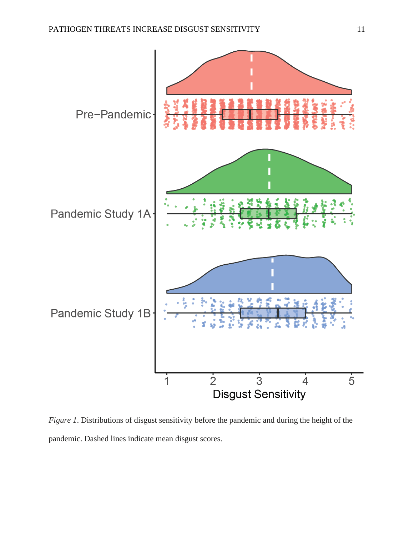

*Figure 1*. Distributions of disgust sensitivity before the pandemic and during the height of the pandemic. Dashed lines indicate mean disgust scores.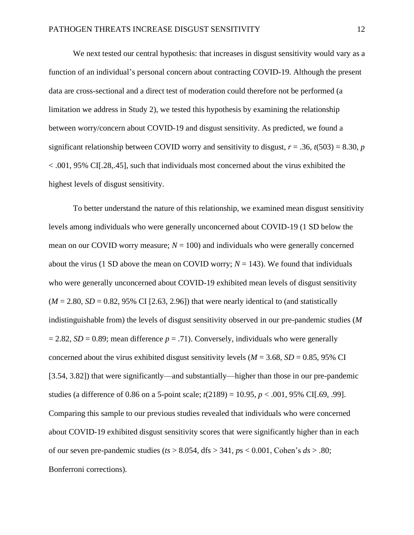We next tested our central hypothesis: that increases in disgust sensitivity would vary as a function of an individual's personal concern about contracting COVID-19. Although the present data are cross-sectional and a direct test of moderation could therefore not be performed (a limitation we address in Study 2), we tested this hypothesis by examining the relationship between worry/concern about COVID-19 and disgust sensitivity. As predicted, we found a significant relationship between COVID worry and sensitivity to disgust,  $r = .36$ ,  $t(503) = 8.30$ ,  $p = 0.30$ < .001, 95% CI[.28,.45], such that individuals most concerned about the virus exhibited the highest levels of disgust sensitivity.

To better understand the nature of this relationship, we examined mean disgust sensitivity levels among individuals who were generally unconcerned about COVID-19 (1 SD below the mean on our COVID worry measure;  $N = 100$ ) and individuals who were generally concerned about the virus (1 SD above the mean on COVID worry;  $N = 143$ ). We found that individuals who were generally unconcerned about COVID-19 exhibited mean levels of disgust sensitivity  $(M = 2.80, SD = 0.82, 95\% \text{ CI}$  [2.63, 2.96]) that were nearly identical to (and statistically indistinguishable from) the levels of disgust sensitivity observed in our pre-pandemic studies (*M*  $= 2.82$ , *SD* = 0.89; mean difference *p* = .71). Conversely, individuals who were generally concerned about the virus exhibited disgust sensitivity levels ( $M = 3.68$ ,  $SD = 0.85$ , 95% CI [3.54, 3.82]) that were significantly—and substantially—higher than those in our pre-pandemic studies (a difference of 0.86 on a 5-point scale; *t*(2189) = 10.95, *p* < .001, 95% CI[.69, .99]. Comparing this sample to our previous studies revealed that individuals who were concerned about COVID-19 exhibited disgust sensitivity scores that were significantly higher than in each of our seven pre-pandemic studies (*ts* > 8.054, dfs > 341, *p*s < 0.001, Cohen's *ds* > .80; Bonferroni corrections).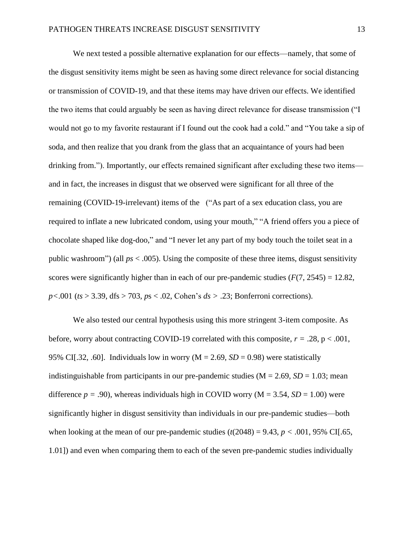We next tested a possible alternative explanation for our effects—namely, that some of the disgust sensitivity items might be seen as having some direct relevance for social distancing or transmission of COVID-19, and that these items may have driven our effects. We identified the two items that could arguably be seen as having direct relevance for disease transmission ("I would not go to my favorite restaurant if I found out the cook had a cold." and "You take a sip of soda, and then realize that you drank from the glass that an acquaintance of yours had been drinking from."). Importantly, our effects remained significant after excluding these two items and in fact, the increases in disgust that we observed were significant for all three of the remaining (COVID-19-irrelevant) items of the ("As part of a sex education class, you are required to inflate a new lubricated condom, using your mouth," "A friend offers you a piece of chocolate shaped like dog-doo," and "I never let any part of my body touch the toilet seat in a public washroom") (all  $ps < .005$ ). Using the composite of these three items, disgust sensitivity scores were significantly higher than in each of our pre-pandemic studies  $(F(7, 2545) = 12.82$ , *p<*.001 (*ts* > 3.39, dfs > 703, *p*s < .02, Cohen's *ds >* .23; Bonferroni corrections).

We also tested our central hypothesis using this more stringent 3-item composite. As before, worry about contracting COVID-19 correlated with this composite,  $r = .28$ ,  $p < .001$ , 95% CI[.32, .60]. Individuals low in worry ( $M = 2.69$ ,  $SD = 0.98$ ) were statistically indistinguishable from participants in our pre-pandemic studies  $(M = 2.69, SD = 1.03$ ; mean difference  $p = .90$ , whereas individuals high in COVID worry ( $M = 3.54$ ,  $SD = 1.00$ ) were significantly higher in disgust sensitivity than individuals in our pre-pandemic studies—both when looking at the mean of our pre-pandemic studies  $(t(2048) = 9.43, p < .001, 95\% \text{ CI}$ .65, 1.01]) and even when comparing them to each of the seven pre-pandemic studies individually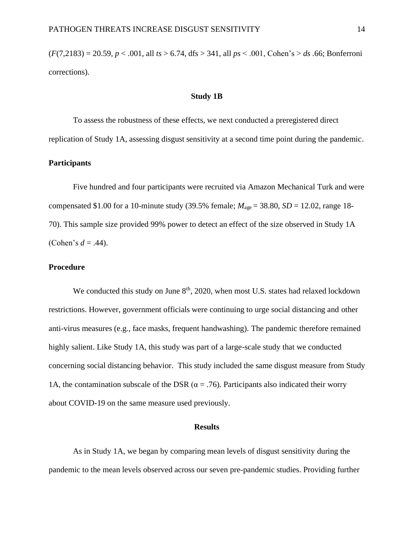(*F*(7,2183) = 20.59, *p* < .001, all *ts* > 6.74, dfs > 341, all *ps* < .001, Cohen's > *ds .*66; Bonferroni corrections).

## **Study 1B**

To assess the robustness of these effects, we next conducted a preregistered direct replication of Study 1A, assessing disgust sensitivity at a second time point during the pandemic.

## **Participants**

Five hundred and four participants were recruited via Amazon Mechanical Turk and were compensated \$1.00 for a 10-minute study (39.5% female;  $M_{\text{age}} = 38.80$ ,  $SD = 12.02$ , range 18-70). This sample size provided 99% power to detect an effect of the size observed in Study 1A (Cohen's  $d = .44$ ).

## **Procedure**

We conducted this study on June  $8<sup>th</sup>$ , 2020, when most U.S. states had relaxed lockdown restrictions. However, government officials were continuing to urge social distancing and other anti-virus measures (e.g., face masks, frequent handwashing). The pandemic therefore remained highly salient. Like Study 1A, this study was part of a large-scale study that we conducted concerning social distancing behavior. This study included the same disgust measure from Study 1A, the contamination subscale of the DSR ( $\alpha$  = .76). Participants also indicated their worry about COVID-19 on the same measure used previously.

#### **Results**

As in Study 1A, we began by comparing mean levels of disgust sensitivity during the pandemic to the mean levels observed across our seven pre-pandemic studies. Providing further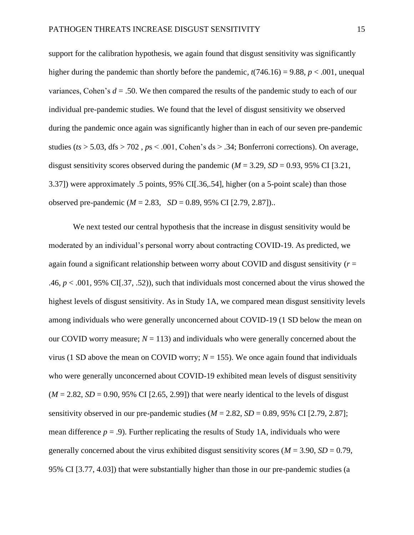support for the calibration hypothesis, we again found that disgust sensitivity was significantly higher during the pandemic than shortly before the pandemic,  $t(746.16) = 9.88$ ,  $p < .001$ , unequal variances, Cohen's *d* = .50. We then compared the results of the pandemic study to each of our individual pre-pandemic studies. We found that the level of disgust sensitivity we observed during the pandemic once again was significantly higher than in each of our seven pre-pandemic studies ( $ts > 5.03$ , dfs  $> 702$ ,  $ps < .001$ , Cohen's ds  $> .34$ ; Bonferroni corrections). On average, disgust sensitivity scores observed during the pandemic  $(M = 3.29, SD = 0.93, 95\% \text{ CI}$  [3.21, 3.37]) were approximately .5 points, 95% CI[.36,.54], higher (on a 5-point scale) than those observed pre-pandemic (*M* = 2.83, *SD* = 0.89, 95% CI [2.79, 2.87])..

We next tested our central hypothesis that the increase in disgust sensitivity would be moderated by an individual's personal worry about contracting COVID-19. As predicted, we again found a significant relationship between worry about COVID and disgust sensitivity (*r* = .46, *p* < .001, 95% CI[.37, .52)), such that individuals most concerned about the virus showed the highest levels of disgust sensitivity. As in Study 1A, we compared mean disgust sensitivity levels among individuals who were generally unconcerned about COVID-19 (1 SD below the mean on our COVID worry measure;  $N = 113$ ) and individuals who were generally concerned about the virus (1 SD above the mean on COVID worry;  $N = 155$ ). We once again found that individuals who were generally unconcerned about COVID-19 exhibited mean levels of disgust sensitivity  $(M = 2.82, SD = 0.90, 95\% \text{ CI}$  [2.65, 2.99]) that were nearly identical to the levels of disgust sensitivity observed in our pre-pandemic studies  $(M = 2.82, SD = 0.89, 95\% \text{ CI}$  [2.79, 2.87]; mean difference  $p = .9$ ). Further replicating the results of Study 1A, individuals who were generally concerned about the virus exhibited disgust sensitivity scores  $(M = 3.90, SD = 0.79,$ 95% CI [3.77, 4.03]) that were substantially higher than those in our pre-pandemic studies (a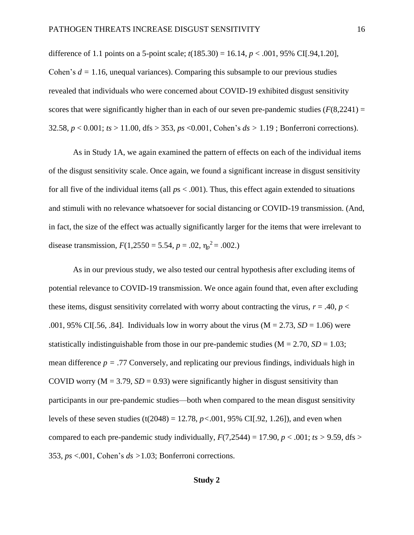difference of 1.1 points on a 5-point scale; *t*(185.30) = 16.14, *p* < .001, 95% CI[.94,1.20], Cohen's  $d = 1.16$ , unequal variances). Comparing this subsample to our previous studies revealed that individuals who were concerned about COVID-19 exhibited disgust sensitivity scores that were significantly higher than in each of our seven pre-pandemic studies  $(F(8,2241) =$ 32.58, *p* < 0.001; *ts* > 11.00, dfs > 353, *ps* <0.001, Cohen's *ds >* 1.19 ; Bonferroni corrections).

As in Study 1A, we again examined the pattern of effects on each of the individual items of the disgust sensitivity scale. Once again, we found a significant increase in disgust sensitivity for all five of the individual items (all *p*s < .001). Thus, this effect again extended to situations and stimuli with no relevance whatsoever for social distancing or COVID-19 transmission. (And, in fact, the size of the effect was actually significantly larger for the items that were irrelevant to disease transmission,  $F(1,2550 = 5.54, p = .02, \eta_p^2 = .002)$ .

As in our previous study, we also tested our central hypothesis after excluding items of potential relevance to COVID-19 transmission. We once again found that, even after excluding these items, disgust sensitivity correlated with worry about contracting the virus,  $r = .40$ ,  $p <$ .001, 95% CI[.56, .84]. Individuals low in worry about the virus  $(M = 2.73, SD = 1.06)$  were statistically indistinguishable from those in our pre-pandemic studies  $(M = 2.70, SD = 1.03;$ mean difference  $p = .77$  Conversely, and replicating our previous findings, individuals high in COVID worry ( $M = 3.79$ ,  $SD = 0.93$ ) were significantly higher in disgust sensitivity than participants in our pre-pandemic studies—both when compared to the mean disgust sensitivity levels of these seven studies (t(2048) = 12.78, *p<*.001, 95% CI[.92, 1.26]), and even when compared to each pre-pandemic study individually,  $F(7,2544) = 17.90$ ,  $p < .001$ ;  $ts > 9.59$ , dfs  $>$ 353, *ps* <.001, Cohen's *ds >*1.03; Bonferroni corrections.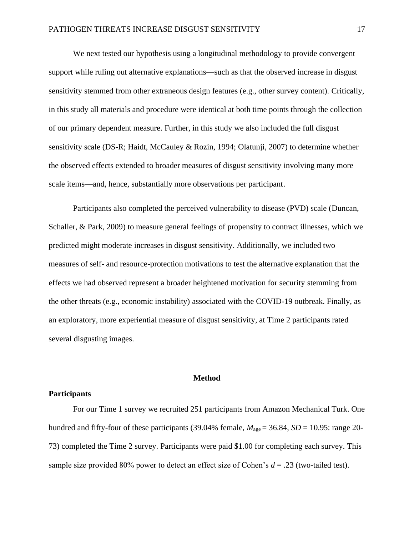We next tested our hypothesis using a longitudinal methodology to provide convergent support while ruling out alternative explanations—such as that the observed increase in disgust sensitivity stemmed from other extraneous design features (e.g., other survey content). Critically, in this study all materials and procedure were identical at both time points through the collection of our primary dependent measure. Further, in this study we also included the full disgust sensitivity scale (DS-R; Haidt, McCauley & Rozin, 1994; Olatunji, 2007) to determine whether the observed effects extended to broader measures of disgust sensitivity involving many more scale items—and, hence, substantially more observations per participant.

Participants also completed the perceived vulnerability to disease (PVD) scale (Duncan, Schaller, & Park, 2009) to measure general feelings of propensity to contract illnesses, which we predicted might moderate increases in disgust sensitivity. Additionally, we included two measures of self- and resource-protection motivations to test the alternative explanation that the effects we had observed represent a broader heightened motivation for security stemming from the other threats (e.g., economic instability) associated with the COVID-19 outbreak. Finally, as an exploratory, more experiential measure of disgust sensitivity, at Time 2 participants rated several disgusting images.

## **Method**

## **Participants**

For our Time 1 survey we recruited 251 participants from Amazon Mechanical Turk. One hundred and fifty-four of these participants (39.04% female,  $M_{\text{age}} = 36.84$ ,  $SD = 10.95$ : range 20-73) completed the Time 2 survey. Participants were paid \$1.00 for completing each survey. This sample size provided 80% power to detect an effect size of Cohen's *d* = .23 (two-tailed test).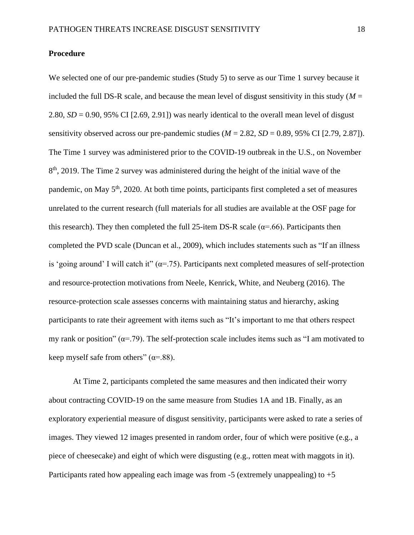## **Procedure**

We selected one of our pre-pandemic studies (Study 5) to serve as our Time 1 survey because it included the full DS-R scale, and because the mean level of disgust sensitivity in this study ( $M =$ 2.80,  $SD = 0.90$ , 95% CI  $[2.69, 2.91]$  was nearly identical to the overall mean level of disgust sensitivity observed across our pre-pandemic studies  $(M = 2.82, SD = 0.89, 95\% \text{ CI}$  [2.79, 2.87]). The Time 1 survey was administered prior to the COVID-19 outbreak in the U.S., on November 8<sup>th</sup>, 2019. The Time 2 survey was administered during the height of the initial wave of the pandemic, on May 5<sup>th</sup>, 2020. At both time points, participants first completed a set of measures unrelated to the current research (full materials for all studies are available at the OSF page for this research). They then completed the full 25-item DS-R scale ( $\alpha$ =.66). Participants then completed the PVD scale (Duncan et al., 2009), which includes statements such as "If an illness is 'going around' I will catch it"  $(\alpha = .75)$ . Participants next completed measures of self-protection and resource-protection motivations from Neele, Kenrick, White, and Neuberg (2016). The resource-protection scale assesses concerns with maintaining status and hierarchy, asking participants to rate their agreement with items such as "It's important to me that others respect my rank or position" ( $\alpha$ =.79). The self-protection scale includes items such as "I am motivated to keep myself safe from others" ( $\alpha$ =.88).

At Time 2, participants completed the same measures and then indicated their worry about contracting COVID-19 on the same measure from Studies 1A and 1B. Finally, as an exploratory experiential measure of disgust sensitivity, participants were asked to rate a series of images. They viewed 12 images presented in random order, four of which were positive (e.g., a piece of cheesecake) and eight of which were disgusting (e.g., rotten meat with maggots in it). Participants rated how appealing each image was from -5 (extremely unappealing) to +5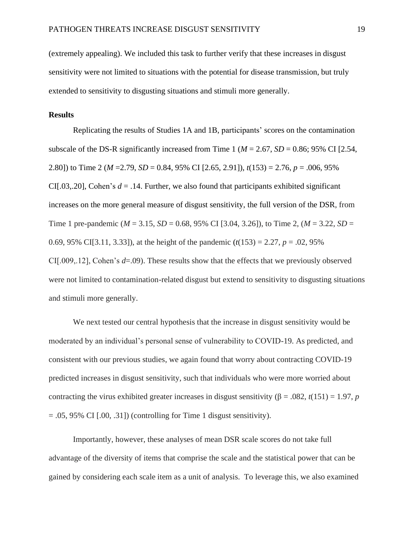(extremely appealing). We included this task to further verify that these increases in disgust sensitivity were not limited to situations with the potential for disease transmission, but truly extended to sensitivity to disgusting situations and stimuli more generally.

#### **Results**

Replicating the results of Studies 1A and 1B, participants' scores on the contamination subscale of the DS-R significantly increased from Time 1 ( $M = 2.67$ ,  $SD = 0.86$ ; 95% CI [2.54, 2.80]) to Time 2 (*M* =2.79, *SD* = 0.84, 95% CI [2.65, 2.91]), *t*(153) = 2.76, *p* = .006, 95% CI[.03,.20], Cohen's  $d = 0.14$ . Further, we also found that participants exhibited significant increases on the more general measure of disgust sensitivity, the full version of the DSR, from Time 1 pre-pandemic ( $M = 3.15$ ,  $SD = 0.68$ , 95% CI [3.04, 3.26]), to Time 2, ( $M = 3.22$ ,  $SD =$ 0.69, 95% CI[3.11, 3.33]), at the height of the pandemic  $(t(153) = 2.27, p = .02, 95\%$ CI[.009,.12], Cohen's *d*=.09). These results show that the effects that we previously observed were not limited to contamination-related disgust but extend to sensitivity to disgusting situations and stimuli more generally.

We next tested our central hypothesis that the increase in disgust sensitivity would be moderated by an individual's personal sense of vulnerability to COVID-19. As predicted, and consistent with our previous studies, we again found that worry about contracting COVID-19 predicted increases in disgust sensitivity, such that individuals who were more worried about contracting the virus exhibited greater increases in disgust sensitivity ( $\beta$  = .082, *t*(151) = 1.97, *p*  $= .05, 95\% \text{ CI } [.00, .31]$  (controlling for Time 1 disgust sensitivity).

Importantly, however, these analyses of mean DSR scale scores do not take full advantage of the diversity of items that comprise the scale and the statistical power that can be gained by considering each scale item as a unit of analysis. To leverage this, we also examined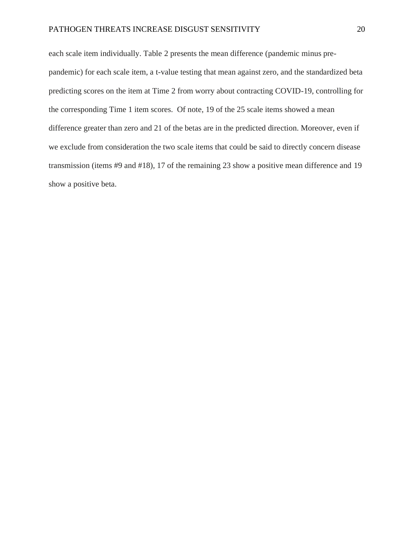## PATHOGEN THREATS INCREASE DISGUST SENSITIVITY 20

each scale item individually. Table 2 presents the mean difference (pandemic minus prepandemic) for each scale item, a t-value testing that mean against zero, and the standardized beta predicting scores on the item at Time 2 from worry about contracting COVID-19, controlling for the corresponding Time 1 item scores. Of note, 19 of the 25 scale items showed a mean difference greater than zero and 21 of the betas are in the predicted direction. Moreover, even if we exclude from consideration the two scale items that could be said to directly concern disease transmission (items #9 and #18), 17 of the remaining 23 show a positive mean difference and 19 show a positive beta.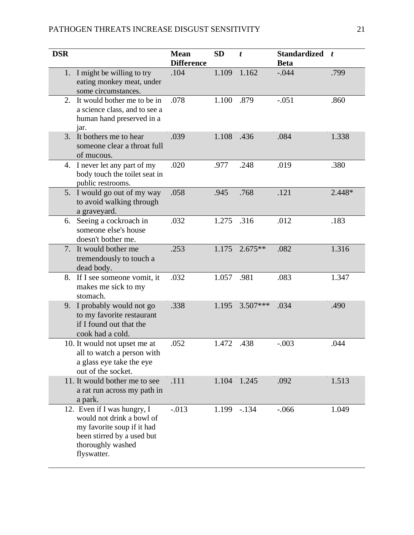| <b>DSR</b> |                                                                                                                                                          | <b>Mean</b><br><b>Difference</b> | SD    | t          | <b>Standardized</b><br><b>Beta</b> | $\boldsymbol{t}$ |
|------------|----------------------------------------------------------------------------------------------------------------------------------------------------------|----------------------------------|-------|------------|------------------------------------|------------------|
| 1.         | I might be willing to try<br>eating monkey meat, under<br>some circumstances.                                                                            | .104                             | 1.109 | 1.162      | $-.044$                            | .799             |
| 2.         | It would bother me to be in<br>a science class, and to see a<br>human hand preserved in a<br>jar.                                                        | .078                             | 1.100 | .879       | $-.051$                            | .860             |
| 3.         | It bothers me to hear<br>someone clear a throat full<br>of mucous.                                                                                       | .039                             | 1.108 | .436       | .084                               | 1.338            |
|            | 4. I never let any part of my<br>body touch the toilet seat in<br>public restrooms.                                                                      | .020                             | .977  | .248       | .019                               | .380             |
|            | 5. I would go out of my way<br>to avoid walking through<br>a graveyard.                                                                                  | .058                             | .945  | .768       | .121                               | 2.448*           |
|            | 6. Seeing a cockroach in<br>someone else's house<br>doesn't bother me.                                                                                   | .032                             | 1.275 | .316       | .012                               | .183             |
|            | 7. It would bother me<br>tremendously to touch a<br>dead body.                                                                                           | .253                             | 1.175 | $2.675**$  | .082                               | 1.316            |
| 8.         | If I see someone vomit, it<br>makes me sick to my<br>stomach.                                                                                            | .032                             | 1.057 | .981       | .083                               | 1.347            |
|            | 9. I probably would not go<br>to my favorite restaurant<br>if I found out that the<br>cook had a cold.                                                   | .338                             | 1.195 | $3.507***$ | .034                               | .490             |
|            | 10. It would not upset me at<br>all to watch a person with<br>a glass eye take the eye<br>out of the socket.                                             | .052                             | 1.472 | .438       | $-.003$                            | .044             |
|            | 11. It would bother me to see<br>a rat run across my path in<br>a park.                                                                                  | .111                             | 1.104 | 1.245      | .092                               | 1.513            |
|            | 12. Even if I was hungry, I<br>would not drink a bowl of<br>my favorite soup if it had<br>been stirred by a used but<br>thoroughly washed<br>flyswatter. | $-0.013$                         | 1.199 | $-.134$    | $-.066$                            | 1.049            |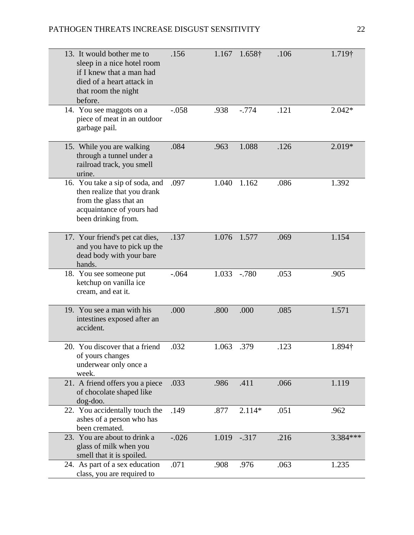| 13. It would bother me to<br>sleep in a nice hotel room<br>if I knew that a man had<br>died of a heart attack in<br>that room the night<br>before. | .156    | 1.167 | 1.658†   | .106 | $1.719\dagger$ |
|----------------------------------------------------------------------------------------------------------------------------------------------------|---------|-------|----------|------|----------------|
| 14. You see maggots on a<br>piece of meat in an outdoor<br>garbage pail.                                                                           | $-.058$ | .938  | $-.774$  | .121 | $2.042*$       |
| 15. While you are walking<br>through a tunnel under a<br>railroad track, you smell<br>urine.                                                       | .084    | .963  | 1.088    | .126 | 2.019*         |
| 16. You take a sip of soda, and<br>then realize that you drank<br>from the glass that an<br>acquaintance of yours had<br>been drinking from.       | .097    | 1.040 | 1.162    | .086 | 1.392          |
| 17. Your friend's pet cat dies,<br>and you have to pick up the<br>dead body with your bare<br>hands.                                               | .137    | 1.076 | 1.577    | .069 | 1.154          |
| 18. You see someone put<br>ketchup on vanilla ice<br>cream, and eat it.                                                                            | $-.064$ | 1.033 | $-.780$  | .053 | .905           |
| 19. You see a man with his<br>intestines exposed after an<br>accident.                                                                             | .000    | .800  | .000     | .085 | 1.571          |
| 20. You discover that a friend<br>of yours changes<br>underwear only once a<br>week.                                                               | .032    | 1.063 | .379     | .123 | 1.894†         |
| 21. A friend offers you a piece<br>of chocolate shaped like<br>$dog$ -doo.                                                                         | .033    | .986  | .411     | .066 | 1.119          |
| 22. You accidentally touch the<br>ashes of a person who has<br>been cremated.                                                                      | .149    | .877  | $2.114*$ | .051 | .962           |
| 23. You are about to drink a<br>glass of milk when you<br>smell that it is spoiled.                                                                | $-.026$ | 1.019 | $-.317$  | .216 | 3.384 ***      |
| 24. As part of a sex education<br>class, you are required to                                                                                       | .071    | .908  | .976     | .063 | 1.235          |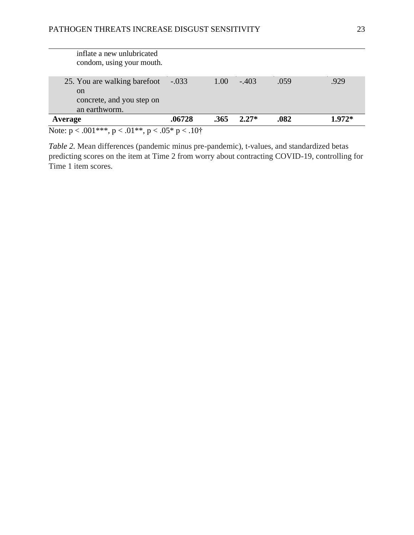| Note: $p < .001***$ , $p < .01**$ , $p < .05*$ $p < .10*$ |         |      |         |      |          |
|-----------------------------------------------------------|---------|------|---------|------|----------|
| Average                                                   | .06728  | .365 | $2.27*$ | .082 | $1.972*$ |
| an earthworm.                                             |         |      |         |      |          |
| concrete, and you step on                                 |         |      |         |      |          |
| <sub>on</sub>                                             |         |      |         |      |          |
| 25. You are walking barefoot                              | $-.033$ | 1.00 | $-.403$ | .059 | .929     |
| inflate a new unlubricated<br>condom, using your mouth.   |         |      |         |      |          |

*Table 2.* Mean differences (pandemic minus pre-pandemic), t-values, and standardized betas predicting scores on the item at Time 2 from worry about contracting COVID-19, controlling for Time 1 item scores.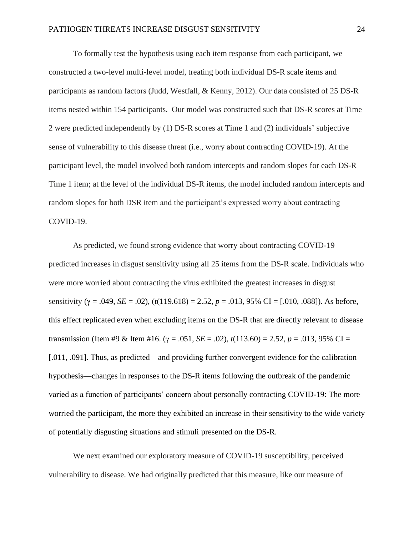To formally test the hypothesis using each item response from each participant, we constructed a two-level multi-level model, treating both individual DS-R scale items and participants as random factors (Judd, Westfall, & Kenny, 2012). Our data consisted of 25 DS-R items nested within 154 participants. Our model was constructed such that DS-R scores at Time 2 were predicted independently by (1) DS-R scores at Time 1 and (2) individuals' subjective sense of vulnerability to this disease threat (i.e., worry about contracting COVID-19). At the participant level, the model involved both random intercepts and random slopes for each DS-R Time 1 item; at the level of the individual DS-R items, the model included random intercepts and random slopes for both DSR item and the participant's expressed worry about contracting COVID-19.

As predicted, we found strong evidence that worry about contracting COVID-19 predicted increases in disgust sensitivity using all 25 items from the DS-R scale. Individuals who were more worried about contracting the virus exhibited the greatest increases in disgust sensitivity (γ = .049, *SE* = .02), (*t*(119.618) = 2.52, *p* = .013, 95% CI = [.010, .088]). As before, this effect replicated even when excluding items on the DS-R that are directly relevant to disease transmission (Item #9 & Item #16.  $(y = .051, SE = .02)$ ,  $t(113.60) = 2.52$ ,  $p = .013,95\%$  CI = [.011, .091]. Thus, as predicted—and providing further convergent evidence for the calibration hypothesis—changes in responses to the DS-R items following the outbreak of the pandemic varied as a function of participants' concern about personally contracting COVID-19: The more worried the participant, the more they exhibited an increase in their sensitivity to the wide variety of potentially disgusting situations and stimuli presented on the DS-R.

We next examined our exploratory measure of COVID-19 susceptibility, perceived vulnerability to disease. We had originally predicted that this measure, like our measure of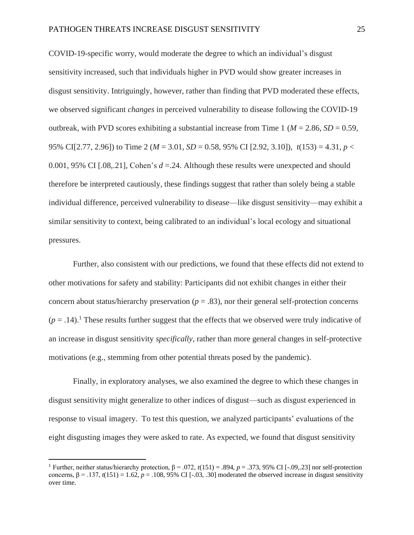COVID-19-specific worry, would moderate the degree to which an individual's disgust sensitivity increased, such that individuals higher in PVD would show greater increases in disgust sensitivity. Intriguingly, however, rather than finding that PVD moderated these effects, we observed significant *changes* in perceived vulnerability to disease following the COVID-19 outbreak, with PVD scores exhibiting a substantial increase from Time 1 ( $M = 2.86$ ,  $SD = 0.59$ , 95% CI[2.77, 2.96]) to Time 2 (*M* = 3.01, *SD* = 0.58, 95% CI [2.92, 3.10]), *t*(153) = 4.31, *p* < 0.001, 95% CI [.08,.21], Cohen's *d* =.24. Although these results were unexpected and should therefore be interpreted cautiously, these findings suggest that rather than solely being a stable individual difference, perceived vulnerability to disease—like disgust sensitivity—may exhibit a similar sensitivity to context, being calibrated to an individual's local ecology and situational pressures.

Further, also consistent with our predictions, we found that these effects did not extend to other motivations for safety and stability: Participants did not exhibit changes in either their concern about status/hierarchy preservation ( $p = .83$ ), nor their general self-protection concerns  $(p = .14).$ <sup>1</sup> These results further suggest that the effects that we observed were truly indicative of an increase in disgust sensitivity *specifically*, rather than more general changes in self-protective motivations (e.g., stemming from other potential threats posed by the pandemic).

Finally, in exploratory analyses, we also examined the degree to which these changes in disgust sensitivity might generalize to other indices of disgust—such as disgust experienced in response to visual imagery. To test this question, we analyzed participants' evaluations of the eight disgusting images they were asked to rate. As expected, we found that disgust sensitivity

<sup>&</sup>lt;sup>1</sup> Further, neither status/hierarchy protection,  $β = .072$ ,  $t(151) = .894$ ,  $p = .373$ , 95% CI [-.09,.23] nor self-protection concerns,  $β = .137$ ,  $t(151) = 1.62$ ,  $p = .108$ , 95% CI [-.03, .30] moderated the observed increase in disgust sensitivity over time.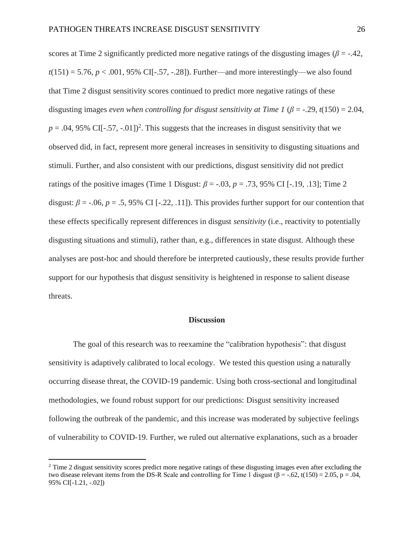scores at Time 2 significantly predicted more negative ratings of the disgusting images ( $\beta$  = -.42,  $t(151) = 5.76, p < .001, 95\%$  CI[-.57, -.28]). Further—and more interestingly—we also found that Time 2 disgust sensitivity scores continued to predict more negative ratings of these disgusting images *even when controlling for disgust sensitivity at Time 1* ( $\beta$  = -.29, *t*(150) = 2.04,  $p = .04$ , 95% CI[ $-.57, -.01$ ]<sup>2</sup>. This suggests that the increases in disgust sensitivity that we observed did, in fact, represent more general increases in sensitivity to disgusting situations and stimuli. Further, and also consistent with our predictions, disgust sensitivity did not predict ratings of the positive images (Time 1 Disgust:  $\beta$  = -.03,  $p$  = .73, 95% CI [-.19, .13]; Time 2 disgust:  $\beta$  = -.06,  $p$  = .5, 95% CI [-.22, .11]). This provides further support for our contention that these effects specifically represent differences in disgust *sensitivity* (i.e., reactivity to potentially disgusting situations and stimuli), rather than, e.g., differences in state disgust. Although these analyses are post-hoc and should therefore be interpreted cautiously, these results provide further support for our hypothesis that disgust sensitivity is heightened in response to salient disease threats.

## **Discussion**

The goal of this research was to reexamine the "calibration hypothesis": that disgust sensitivity is adaptively calibrated to local ecology. We tested this question using a naturally occurring disease threat, the COVID-19 pandemic. Using both cross-sectional and longitudinal methodologies, we found robust support for our predictions: Disgust sensitivity increased following the outbreak of the pandemic, and this increase was moderated by subjective feelings of vulnerability to COVID-19. Further, we ruled out alternative explanations, such as a broader

<sup>&</sup>lt;sup>2</sup> Time 2 disgust sensitivity scores predict more negative ratings of these disgusting images even after excluding the two disease relevant items from the DS-R Scale and controlling for Time 1 disgust ( $\beta$  = -.62, t(150) = 2.05, p = .04, 95% CI[-1.21, -.02])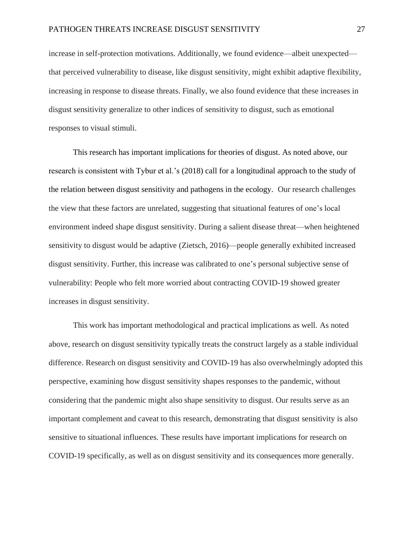increase in self-protection motivations. Additionally, we found evidence—albeit unexpected that perceived vulnerability to disease, like disgust sensitivity, might exhibit adaptive flexibility, increasing in response to disease threats. Finally, we also found evidence that these increases in disgust sensitivity generalize to other indices of sensitivity to disgust, such as emotional responses to visual stimuli.

This research has important implications for theories of disgust. As noted above, our research is consistent with Tybur et al.'s (2018) call for a longitudinal approach to the study of the relation between disgust sensitivity and pathogens in the ecology. Our research challenges the view that these factors are unrelated, suggesting that situational features of one's local environment indeed shape disgust sensitivity. During a salient disease threat—when heightened sensitivity to disgust would be adaptive (Zietsch, 2016)—people generally exhibited increased disgust sensitivity. Further, this increase was calibrated to one's personal subjective sense of vulnerability: People who felt more worried about contracting COVID-19 showed greater increases in disgust sensitivity.

This work has important methodological and practical implications as well. As noted above, research on disgust sensitivity typically treats the construct largely as a stable individual difference. Research on disgust sensitivity and COVID-19 has also overwhelmingly adopted this perspective, examining how disgust sensitivity shapes responses to the pandemic, without considering that the pandemic might also shape sensitivity to disgust. Our results serve as an important complement and caveat to this research, demonstrating that disgust sensitivity is also sensitive to situational influences. These results have important implications for research on COVID-19 specifically, as well as on disgust sensitivity and its consequences more generally.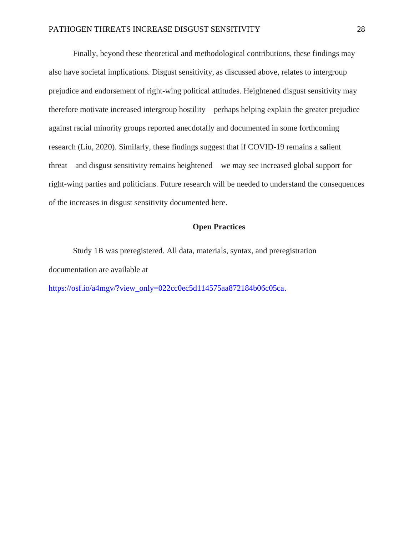Finally, beyond these theoretical and methodological contributions, these findings may also have societal implications. Disgust sensitivity, as discussed above, relates to intergroup prejudice and endorsement of right-wing political attitudes. Heightened disgust sensitivity may therefore motivate increased intergroup hostility—perhaps helping explain the greater prejudice against racial minority groups reported anecdotally and documented in some forthcoming research (Liu, 2020). Similarly, these findings suggest that if COVID-19 remains a salient threat—and disgust sensitivity remains heightened—we may see increased global support for right-wing parties and politicians. Future research will be needed to understand the consequences of the increases in disgust sensitivity documented here.

## **Open Practices**

Study 1B was preregistered. All data, materials, syntax, and preregistration documentation are available at

[https://osf.io/a4mgv/?view\\_only=022cc0ec5d114575aa872184b06c05ca.](https://osf.io/a4mgv/?view_only=022cc0ec5d114575aa872184b06c05ca)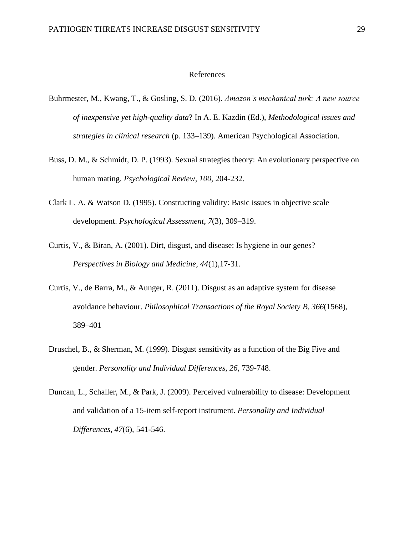#### References

- Buhrmester, M., Kwang, T., & Gosling, S. D. (2016). *Amazon's mechanical turk: A new source of inexpensive yet high-quality data*? In A. E. Kazdin (Ed.), *Methodological issues and strategies in clinical research* (p. 133–139). American Psychological Association.
- Buss, D. M., & Schmidt, D. P. (1993). Sexual strategies theory: An evolutionary perspective on human mating. *Psychological Review, 100,* 204-232.
- Clark L. A. & Watson D. (1995). Constructing validity: Basic issues in objective scale development. *Psychological Assessment*, *7*(3), 309–319.
- Curtis, V., & Biran, A. (2001). Dirt, disgust, and disease: Is hygiene in our genes? *Perspectives in Biology and Medicine, 44*(1)*,*17-31.
- Curtis, V., de Barra, M., & Aunger, R. (2011). Disgust as an adaptive system for disease avoidance behaviour. *Philosophical Transactions of the Royal Society B, 366*(1568), 389–401
- Druschel, B., & Sherman, M. (1999). Disgust sensitivity as a function of the Big Five and gender. *Personality and Individual Differences, 26,* 739-748.
- Duncan, L., Schaller, M., & Park, J. (2009). Perceived vulnerability to disease: Development and validation of a 15-item self-report instrument. *Personality and Individual Differences, 47*(6)*,* 541-546.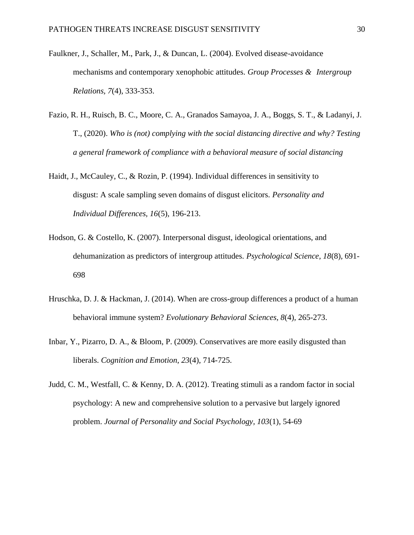- Faulkner, J., Schaller, M., Park, J., & Duncan, L. (2004). Evolved disease-avoidance mechanisms and contemporary xenophobic attitudes. *Group Processes & Intergroup Relations, 7*(4)*,* 333-353.
- Fazio, R. H., Ruisch, B. C., Moore, C. A., Granados Samayoa, J. A., Boggs, S. T., & Ladanyi, J. T., (2020). *Who is (not) complying with the social distancing directive and why? Testing a general framework of compliance with a behavioral measure of social distancing*
- Haidt, J., McCauley, C., & Rozin, P. (1994). Individual differences in sensitivity to disgust: A scale sampling seven domains of disgust elicitors. *Personality and Individual Differences, 16*(5)*,* 196-213.
- Hodson, G. & Costello, K. (2007). Interpersonal disgust, ideological orientations, and dehumanization as predictors of intergroup attitudes. *Psychological Science, 18*(8)*,* 691- 698
- Hruschka, D. J. & Hackman, J. (2014). When are cross-group differences a product of a human behavioral immune system? *Evolutionary Behavioral Sciences, 8*(4)*,* 265-273.
- Inbar, Y., Pizarro, D. A., & Bloom, P. (2009). Conservatives are more easily disgusted than liberals. *Cognition and Emotion*, *23*(4), 714-725.
- Judd, C. M., Westfall, C. & Kenny, D. A. (2012). Treating stimuli as a random factor in social psychology: A new and comprehensive solution to a pervasive but largely ignored problem. *Journal of Personality and Social Psychology, 103*(1), 54-69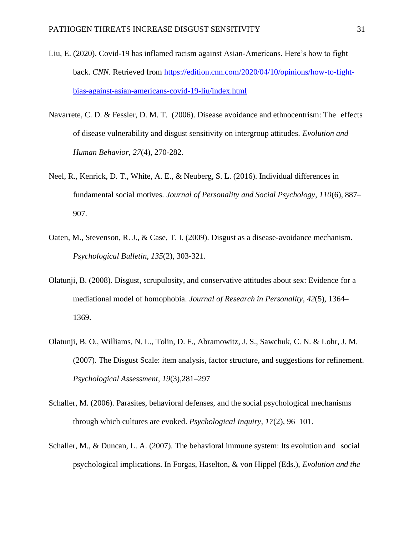- Liu, E. (2020). Covid-19 has inflamed racism against Asian-Americans. Here's how to fight back. *CNN*. Retrieved from [https://edition.cnn.com/2020/04/10/opinions/how-to-fight](https://edition.cnn.com/2020/04/10/opinions/how-to-fight-bias-against-asian-americans-covid-19-liu/index.html)[bias-against-asian-americans-covid-19-liu/index.html](https://edition.cnn.com/2020/04/10/opinions/how-to-fight-bias-against-asian-americans-covid-19-liu/index.html)
- Navarrete, C. D. & Fessler, D. M. T. (2006). Disease avoidance and ethnocentrism: The effects of disease vulnerability and disgust sensitivity on intergroup attitudes. *Evolution and Human Behavior, 27*(4)*,* 270-282.
- Neel, R., Kenrick, D. T., White, A. E., & Neuberg, S. L. (2016). Individual differences in fundamental social motives. *Journal of Personality and Social Psychology, 110*(6), 887– 907.
- Oaten, M., Stevenson, R. J., & Case, T. I. (2009). Disgust as a disease-avoidance mechanism. *Psychological Bulletin, 135*(2), 303-321.
- Olatunji, B. (2008). Disgust, scrupulosity, and conservative attitudes about sex: Evidence for a mediational model of homophobia. *Journal of Research in Personality*, *42*(5)*,* 1364– 1369.
- Olatunji, B. O., Williams, N. L., Tolin, D. F., Abramowitz, J. S., Sawchuk, C. N. & Lohr, J. M. (2007). The Disgust Scale: item analysis, factor structure, and suggestions for refinement. *Psychological Assessment, 19*(3),281–297
- Schaller, M. (2006). Parasites, behavioral defenses, and the social psychological mechanisms through which cultures are evoked. *Psychological Inquiry, 17*(2)*,* 96–101.
- Schaller, M., & Duncan, L. A. (2007). The behavioral immune system: Its evolution and social psychological implications. In Forgas, Haselton, & von Hippel (Eds.), *Evolution and the*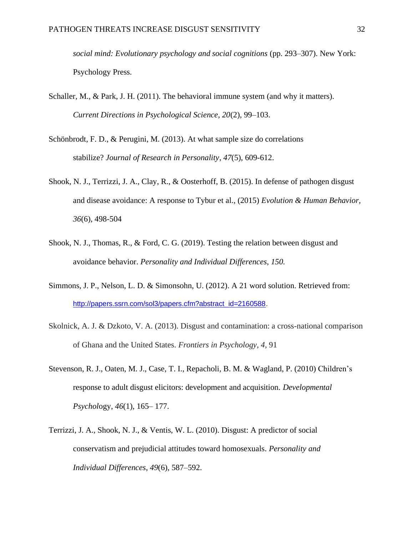*social mind: Evolutionary psychology and social cognitions* (pp. 293–307). New York: Psychology Press.

- Schaller, M., & Park, J. H. (2011). The behavioral immune system (and why it matters). *Current Directions in Psychological Science, 20*(2)*,* 99–103.
- Schönbrodt, F. D., & Perugini, M. (2013). At what sample size do correlations stabilize? *Journal of Research in Personality*, *47*(5), 609-612.
- Shook, N. J., Terrizzi, J. A., Clay, R., & Oosterhoff, B. (2015). In defense of pathogen disgust and disease avoidance: A response to Tybur et al., (2015) *Evolution & Human Behavior, 36*(6)*,* 498-504
- Shook, N. J., Thomas, R., & Ford, C. G. (2019). Testing the relation between disgust and avoidance behavior. *Personality and Individual Differences*, *150.*
- Simmons, J. P., Nelson, L. D. & Simonsohn, U. (2012). A 21 word solution. Retrieved from: [http://papers.ssrn.com/sol3/papers.cfm?abstract\\_id=2160588.](http://papers.ssrn.com/sol3/papers.cfm?abstract_id=2160588)
- Skolnick, A. J. & Dzkoto, V. A. (2013). Disgust and contamination: a cross-national comparison of Ghana and the United States. *Frontiers in Psychology, 4,* 91
- Stevenson, R. J., Oaten, M. J., Case, T. I., Repacholi, B. M. & Wagland, P. (2010) Children's response to adult disgust elicitors: development and acquisition. *Developmental Psychol*ogy, *46*(1), 165– 177.
- Terrizzi, J. A., Shook, N. J., & Ventis, W. L. (2010). Disgust: A predictor of social conservatism and prejudicial attitudes toward homosexuals*. Personality and Individual Differences*, *49*(6), 587–592.